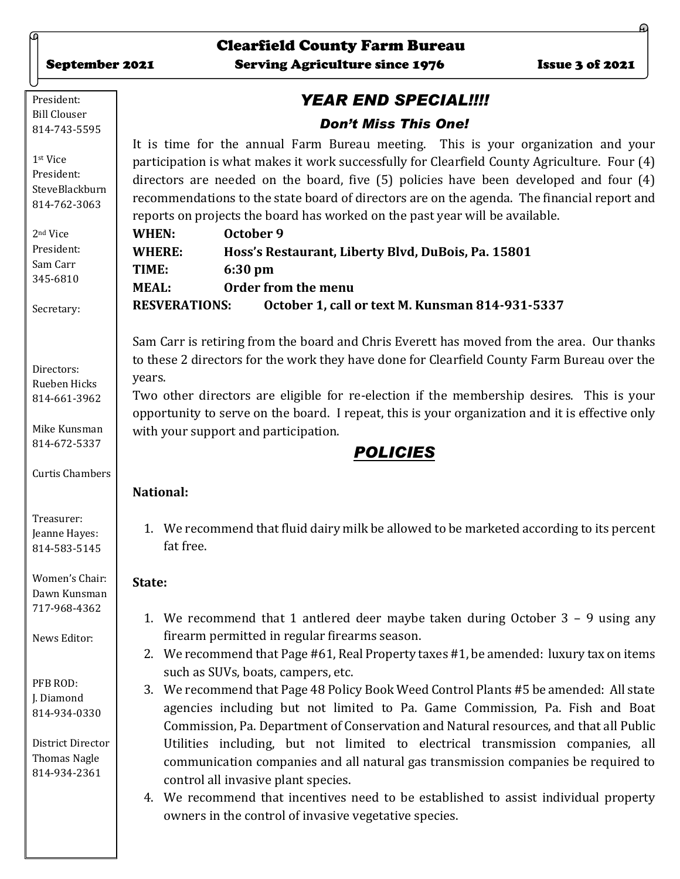## Clearfield County Farm Bureau

September 2021 Serving Agriculture since 1976 Issue 3 of 2021

G.

# *YEAR END SPECIAL!!!!*

### *Don't Miss This One!*

It is time for the annual Farm Bureau meeting. This is your organization and your participation is what makes it work successfully for Clearfield County Agriculture. Four (4) directors are needed on the board, five (5) policies have been developed and four (4) recommendations to the state board of directors are on the agenda. The financial report and reports on projects the board has worked on the past year will be available.

**WHEN: October 9 WHERE: Hoss's Restaurant, Liberty Blvd, DuBois, Pa. 15801 TIME: 6:30 pm MEAL: Order from the menu RESVERATIONS: October 1, call or text M. Kunsman 814-931-5337**

Sam Carr is retiring from the board and Chris Everett has moved from the area. Our thanks to these 2 directors for the work they have done for Clearfield County Farm Bureau over the years.

Two other directors are eligible for re-election if the membership desires. This is your opportunity to serve on the board. I repeat, this is your organization and it is effective only with your support and participation.

### *POLICIES*

### **National:**

1. We recommend that fluid dairy milk be allowed to be marketed according to its percent fat free.

#### **State:**

- 1. We recommend that 1 antlered deer maybe taken during October 3 9 using any firearm permitted in regular firearms season.
- 2. We recommend that Page #61, Real Property taxes #1, be amended: luxury tax on items such as SUVs, boats, campers, etc.
- 3. We recommend that Page 48 Policy Book Weed Control Plants #5 be amended: All state agencies including but not limited to Pa. Game Commission, Pa. Fish and Boat Commission, Pa. Department of Conservation and Natural resources, and that all Public Utilities including, but not limited to electrical transmission companies, all communication companies and all natural gas transmission companies be required to control all invasive plant species.
- 4. We recommend that incentives need to be established to assist individual property owners in the control of invasive vegetative species.

President: Bill Clouser 814-743-5595

1st Vice President: SteveBlackburn 814-762-3063

2nd Vice President: Sam Carr 345-6810

Secretary:

Directors: Rueben Hicks 814-661-3962

Mike Kunsman 814-672-5337

Curtis Chambers

Treasurer: Jeanne Hayes: 814-583-5145

Women's Chair: Dawn Kunsman 717-968-4362

News Editor:

PFB ROD: J. Diamond 814-934-0330

District Director Thomas Nagle 814-934-2361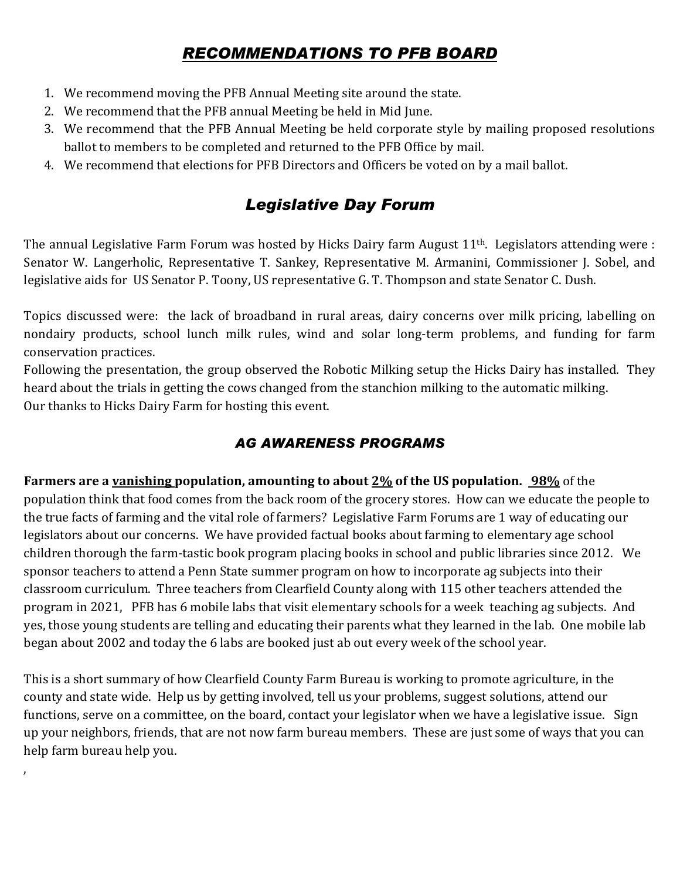### *RECOMMENDATIONS TO PFB BOARD*

- 1. We recommend moving the PFB Annual Meeting site around the state.
- 2. We recommend that the PFB annual Meeting be held in Mid June.
- 3. We recommend that the PFB Annual Meeting be held corporate style by mailing proposed resolutions ballot to members to be completed and returned to the PFB Office by mail.
- 4. We recommend that elections for PFB Directors and Officers be voted on by a mail ballot.

### *Legislative Day Forum*

The annual Legislative Farm Forum was hosted by Hicks Dairy farm August 11th. Legislators attending were : Senator W. Langerholic, Representative T. Sankey, Representative M. Armanini, Commissioner J. Sobel, and legislative aids for US Senator P. Toony, US representative G. T. Thompson and state Senator C. Dush.

Topics discussed were: the lack of broadband in rural areas, dairy concerns over milk pricing, labelling on nondairy products, school lunch milk rules, wind and solar long-term problems, and funding for farm conservation practices.

Following the presentation, the group observed the Robotic Milking setup the Hicks Dairy has installed. They heard about the trials in getting the cows changed from the stanchion milking to the automatic milking. Our thanks to Hicks Dairy Farm for hosting this event.

### *AG AWARENESS PROGRAMS*

**Farmers are a vanishing population, amounting to about 2% of the US population. 98%** of the population think that food comes from the back room of the grocery stores. How can we educate the people to the true facts of farming and the vital role of farmers? Legislative Farm Forums are 1 way of educating our legislators about our concerns. We have provided factual books about farming to elementary age school children thorough the farm-tastic book program placing books in school and public libraries since 2012. We sponsor teachers to attend a Penn State summer program on how to incorporate ag subjects into their classroom curriculum. Three teachers from Clearfield County along with 115 other teachers attended the program in 2021, PFB has 6 mobile labs that visit elementary schools for a week teaching ag subjects. And yes, those young students are telling and educating their parents what they learned in the lab. One mobile lab began about 2002 and today the 6 labs are booked just ab out every week of the school year.

This is a short summary of how Clearfield County Farm Bureau is working to promote agriculture, in the county and state wide. Help us by getting involved, tell us your problems, suggest solutions, attend our functions, serve on a committee, on the board, contact your legislator when we have a legislative issue. Sign up your neighbors, friends, that are not now farm bureau members. These are just some of ways that you can help farm bureau help you.

,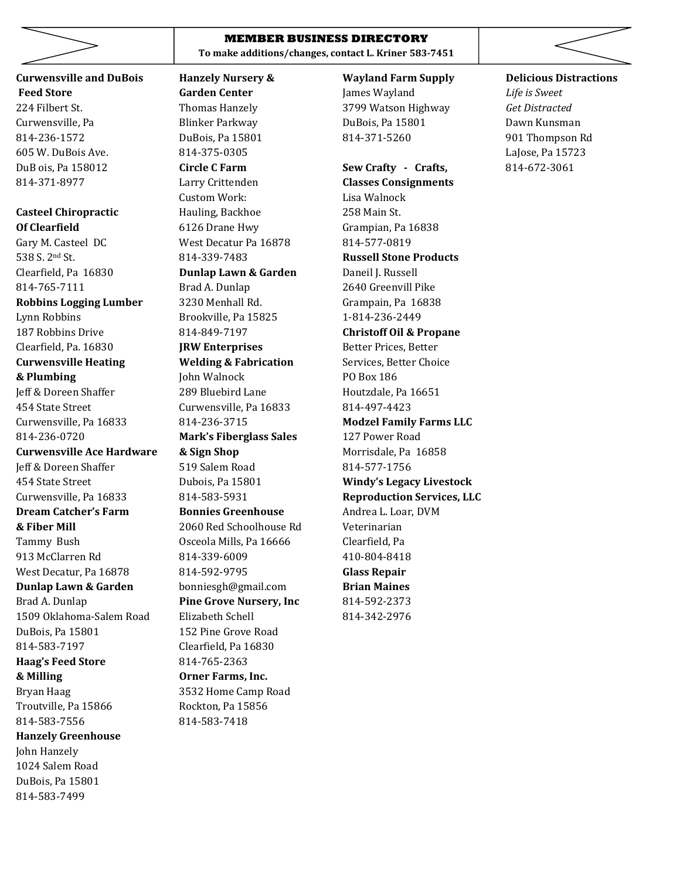

#### **MEMBER BUSINESS DIRECTORY**

**To make additions/changes, contact L. Kriner 583-7451**

### **Feed Store** 224 Filbert St. Curwensville, Pa 814-236-1572 605 W. DuBois Ave.

**Curwensville and DuBois**

DuB ois, Pa 158012 814-371-8977

#### **Casteel Chiropractic Of Clearfield**

Gary M. Casteel DC 538 S. 2nd St. Clearfield, Pa 16830 814-765-7111 **Robbins Logging Lumber** Lynn Robbins 187 Robbins Drive Clearfield, Pa. 16830 **Curwensville Heating & Plumbing** Jeff & Doreen Shaffer 454 State Street Curwensville, Pa 16833 814-236-0720 **Curwensville Ace Hardware** Jeff & Doreen Shaffer 454 State Street Curwensville, Pa 16833 **Dream Catcher's Farm & Fiber Mill** Tammy Bush 913 McClarren Rd West Decatur, Pa 16878 **Dunlap Lawn & Garden** Brad A. Dunlap 1509 Oklahoma-Salem Road DuBois, Pa 15801 814-583-7197 **Haag's Feed Store & Milling** Bryan Haag Troutville, Pa 15866 814-583-7556 **Hanzely Greenhouse** John Hanzely

1024 Salem Road DuBois, Pa 15801 814-583-7499

**Hanzely Nursery & Garden Center** Thomas Hanzely Blinker Parkway DuBois, Pa 15801 814-375-0305 **Circle C Farm** Larry Crittenden Custom Work: Hauling, Backhoe 6126 Drane Hwy West Decatur Pa 16878 814-339-7483 **Dunlap Lawn & Garden** Brad A. Dunlap 3230 Menhall Rd. Brookville, Pa 15825 814-849-7197 **JRW Enterprises Welding & Fabrication** John Walnock 289 Bluebird Lane Curwensville, Pa 16833 814-236-3715 **Mark's Fiberglass Sales & Sign Shop** 519 Salem Road Dubois, Pa 15801 814-583-5931 **Bonnies Greenhouse** 2060 Red Schoolhouse Rd Osceola Mills, Pa 16666 814-339-6009 814-592-9795 bonniesgh@gmail.com **Pine Grove Nursery, Inc** Elizabeth Schell 152 Pine Grove Road Clearfield, Pa 16830 814-765-2363 **Orner Farms, Inc.**

3532 Home Camp Road Rockton, Pa 15856 814-583-7418

#### **Wayland Farm Supply** James Wayland

3799 Watson Highway DuBois, Pa 15801 814-371-5260

**Sew Crafty - Crafts, Classes Consignments** Lisa Walnock 258 Main St. Grampian, Pa 16838 814-577-0819 **Russell Stone Products** Daneil J. Russell 2640 Greenvill Pike Grampain, Pa 16838 1-814-236-2449 **Christoff Oil & Propane** Better Prices, Better Services, Better Choice PO Box 186 Houtzdale, Pa 16651 814-497-4423 **Modzel Family Farms LLC** 127 Power Road Morrisdale, Pa 16858 814-577-1756 **Windy's Legacy Livestock Reproduction Services, LLC** Andrea L. Loar, DVM Veterinarian Clearfield, Pa 410-804-8418 **Glass Repair Brian Maines** 814-592-2373 814-342-2976



**Delicious Distractions**

*Life is Sweet Get Distracted* Dawn Kunsman 901 Thompson Rd LaJose, Pa 15723 814-672-3061